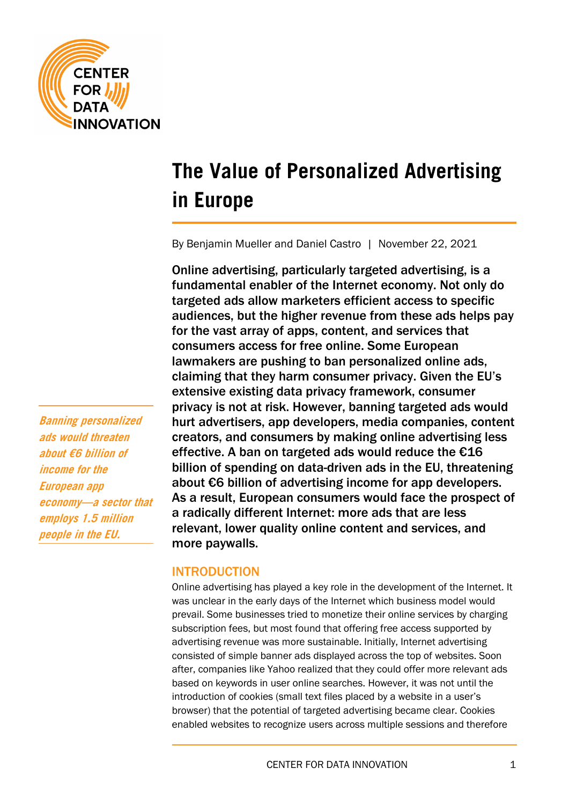

# **The Value of Personalized Advertising in Europe**

By Benjamin Mueller and Daniel Castro | November 22, 2021

Online advertising, particularly targeted advertising, is a fundamental enabler of the Internet economy. Not only do targeted ads allow marketers efficient access to specific audiences, but the higher revenue from these ads helps pay for the vast array of apps, content, and services that consumers access for free online. Some European lawmakers are pushing to ban personalized online ads, claiming that they harm consumer privacy. Given the EU's extensive existing data privacy framework, consumer privacy is not at risk. However, banning targeted ads would hurt advertisers, app developers, media companies, content creators, and consumers by making online advertising less effective. A ban on targeted ads would reduce the  $\epsilon$ 16 billion of spending on data-driven ads in the EU, threatening about €6 billion of advertising income for app developers. As a result, European consumers would face the prospect of a radically different Internet: more ads that are less relevant, lower quality online content and services, and more paywalls.

# INTRODUCTION

Online advertising has played a key role in the development of the Internet. It was unclear in the early days of the Internet which business model would prevail. Some businesses tried to monetize their online services by charging subscription fees, but most found that offering free access supported by advertising revenue was more sustainable. Initially, Internet advertising consisted of simple banner ads displayed across the top of websites. Soon after, companies like Yahoo realized that they could offer more relevant ads based on keywords in user online searches. However, it was not until the introduction of cookies (small text files placed by a website in a user's browser) that the potential of targeted advertising became clear. Cookies enabled websites to recognize users across multiple sessions and therefore

**Banning personalized ads would threaten about €6 billion of income for the European app economy—a sector that employs 1.5 million people in the EU.**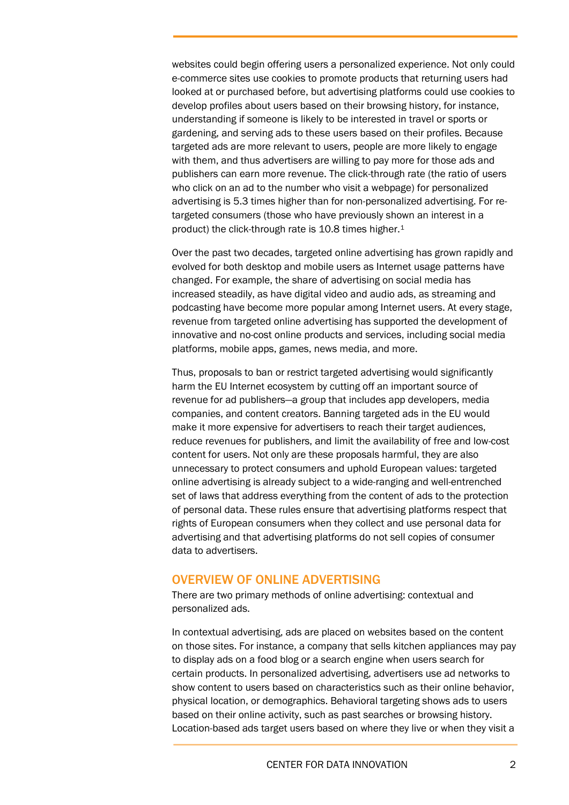websites could begin offering users a personalized experience. Not only could e-commerce sites use cookies to promote products that returning users had looked at or purchased before, but advertising platforms could use cookies to develop profiles about users based on their browsing history, for instance, understanding if someone is likely to be interested in travel or sports or gardening, and serving ads to these users based on their profiles. Because targeted ads are more relevant to users, people are more likely to engage with them, and thus advertisers are willing to pay more for those ads and publishers can earn more revenue. The click-through rate (the ratio of users who click on an ad to the number who visit a webpage) for personalized advertising is 5.3 times higher than for non-personalized advertising. For retargeted consumers (those who have previously shown an interest in a product) the click-through rate is 10.8 times higher.[1](#page-13-0)

Over the past two decades, targeted online advertising has grown rapidly and evolved for both desktop and mobile users as Internet usage patterns have changed. For example, the share of advertising on social media has increased steadily, as have digital video and audio ads, as streaming and podcasting have become more popular among Internet users. At every stage, revenue from targeted online advertising has supported the development of innovative and no-cost online products and services, including social media platforms, mobile apps, games, news media, and more.

Thus, proposals to ban or restrict targeted advertising would significantly harm the EU Internet ecosystem by cutting off an important source of revenue for ad publishers—a group that includes app developers, media companies, and content creators. Banning targeted ads in the EU would make it more expensive for advertisers to reach their target audiences, reduce revenues for publishers, and limit the availability of free and low-cost content for users. Not only are these proposals harmful, they are also unnecessary to protect consumers and uphold European values: targeted online advertising is already subject to a wide-ranging and well-entrenched set of laws that address everything from the content of ads to the protection of personal data. These rules ensure that advertising platforms respect that rights of European consumers when they collect and use personal data for advertising and that advertising platforms do not sell copies of consumer data to advertisers.

# OVERVIEW OF ONLINE ADVERTISING

There are two primary methods of online advertising: contextual and personalized ads.

In contextual advertising, ads are placed on websites based on the content on those sites. For instance, a company that sells kitchen appliances may pay to display ads on a food blog or a search engine when users search for certain products. In personalized advertising, advertisers use ad networks to show content to users based on characteristics such as their online behavior, physical location, or demographics. Behavioral targeting shows ads to users based on their online activity, such as past searches or browsing history. Location-based ads target users based on where they live or when they visit a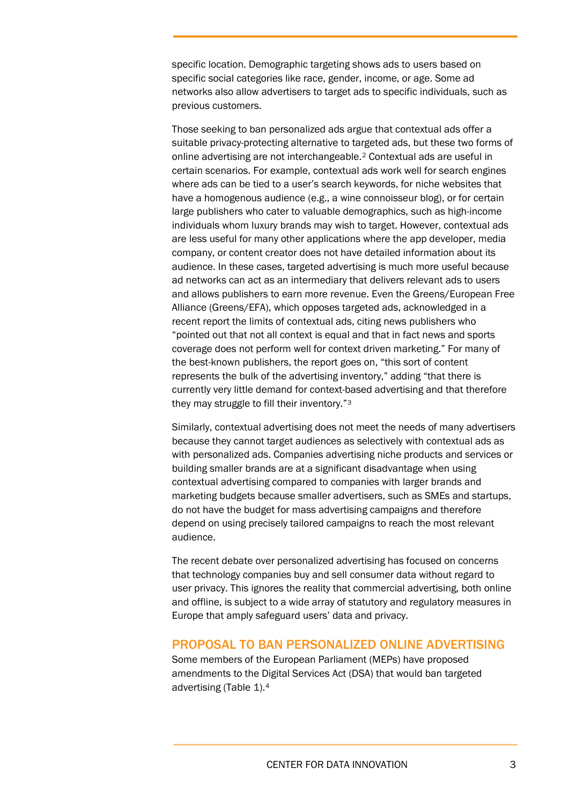specific location. Demographic targeting shows ads to users based on specific social categories like race, gender, income, or age. Some ad networks also allow advertisers to target ads to specific individuals, such as previous customers.

Those seeking to ban personalized ads argue that contextual ads offer a suitable privacy-protecting alternative to targeted ads, but these two forms of online advertising are not interchangeable.[2](#page-13-1) Contextual ads are useful in certain scenarios. For example, contextual ads work well for search engines where ads can be tied to a user's search keywords, for niche websites that have a homogenous audience (e.g., a wine connoisseur blog), or for certain large publishers who cater to valuable demographics, such as high-income individuals whom luxury brands may wish to target. However, contextual ads are less useful for many other applications where the app developer, media company, or content creator does not have detailed information about its audience. In these cases, targeted advertising is much more useful because ad networks can act as an intermediary that delivers relevant ads to users and allows publishers to earn more revenue. Even the Greens/European Free Alliance (Greens/EFA), which opposes targeted ads, acknowledged in a recent report the limits of contextual ads, citing news publishers who "pointed out that not all context is equal and that in fact news and sports coverage does not perform well for context driven marketing." For many of the best-known publishers, the report goes on, "this sort of content represents the bulk of the advertising inventory," adding "that there is currently very little demand for context-based advertising and that therefore they may struggle to fill their inventory."[3](#page-13-2)

Similarly, contextual advertising does not meet the needs of many advertisers because they cannot target audiences as selectively with contextual ads as with personalized ads. Companies advertising niche products and services or building smaller brands are at a significant disadvantage when using contextual advertising compared to companies with larger brands and marketing budgets because smaller advertisers, such as SMEs and startups, do not have the budget for mass advertising campaigns and therefore depend on using precisely tailored campaigns to reach the most relevant audience.

The recent debate over personalized advertising has focused on concerns that technology companies buy and sell consumer data without regard to user privacy. This ignores the reality that commercial advertising, both online and offline, is subject to a wide array of statutory and regulatory measures in Europe that amply safeguard users' data and privacy.

# PROPOSAL TO BAN PERSONALIZED ONLINE ADVERTISING

<span id="page-2-0"></span>Some members of the European Parliament (MEPs) have proposed amendments to the Digital Services Act (DSA) that would ban targeted advertising [\(Table 1\)](#page-2-0).[4](#page-13-3)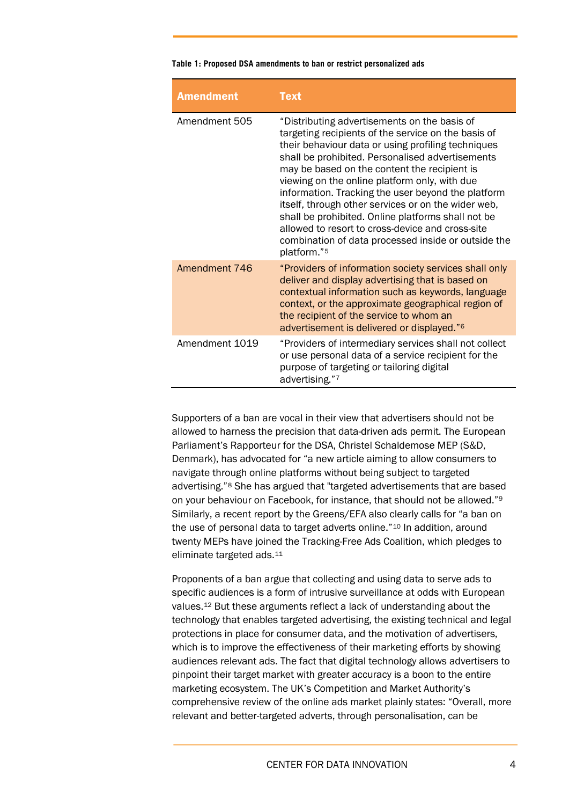#### **Table 1: Proposed DSA amendments to ban or restrict personalized ads**

| <b>Amendment</b> | <b>Text</b>                                                                                                                                                                                                                                                                                                                                                                                                                                                                                                                                                                                                 |
|------------------|-------------------------------------------------------------------------------------------------------------------------------------------------------------------------------------------------------------------------------------------------------------------------------------------------------------------------------------------------------------------------------------------------------------------------------------------------------------------------------------------------------------------------------------------------------------------------------------------------------------|
| Amendment 505    | "Distributing advertisements on the basis of<br>targeting recipients of the service on the basis of<br>their behaviour data or using profiling techniques<br>shall be prohibited. Personalised advertisements<br>may be based on the content the recipient is<br>viewing on the online platform only, with due<br>information. Tracking the user beyond the platform<br>itself, through other services or on the wider web,<br>shall be prohibited. Online platforms shall not be<br>allowed to resort to cross-device and cross-site<br>combination of data processed inside or outside the<br>platform."5 |
| Amendment 746    | "Providers of information society services shall only<br>deliver and display advertising that is based on<br>contextual information such as keywords, language<br>context, or the approximate geographical region of<br>the recipient of the service to whom an<br>advertisement is delivered or displayed." <sup>6</sup>                                                                                                                                                                                                                                                                                   |
| Amendment 1019   | "Providers of intermediary services shall not collect<br>or use personal data of a service recipient for the<br>purpose of targeting or tailoring digital<br>advertising."7                                                                                                                                                                                                                                                                                                                                                                                                                                 |

Supporters of a ban are vocal in their view that advertisers should not be allowed to harness the precision that data-driven ads permit. The European Parliament's Rapporteur for the DSA, Christel Schaldemose MEP (S&D, Denmark), has advocated for "a new article aiming to allow consumers to navigate through online platforms without being subject to targeted advertising."[8](#page-13-7) She has argued that "targeted advertisements that are based on your behaviour on Facebook, for instance, that should not be allowed."[9](#page-13-8) Similarly, a recent report by the Greens/EFA also clearly calls for "a ban on the use of personal data to target adverts online."[10](#page-13-9) In addition, around twenty MEPs have joined the Tracking-Free Ads Coalition, which pledges to eliminate targeted ads.[11](#page-13-10)

Proponents of a ban argue that collecting and using data to serve ads to specific audiences is a form of intrusive surveillance at odds with European values[.12](#page-13-11) But these arguments reflect a lack of understanding about the technology that enables targeted advertising, the existing technical and legal protections in place for consumer data, and the motivation of advertisers, which is to improve the effectiveness of their marketing efforts by showing audiences relevant ads. The fact that digital technology allows advertisers to pinpoint their target market with greater accuracy is a boon to the entire marketing ecosystem. The UK's Competition and Market Authority's comprehensive review of the online ads market plainly states: "Overall, more relevant and better-targeted adverts, through personalisation, can be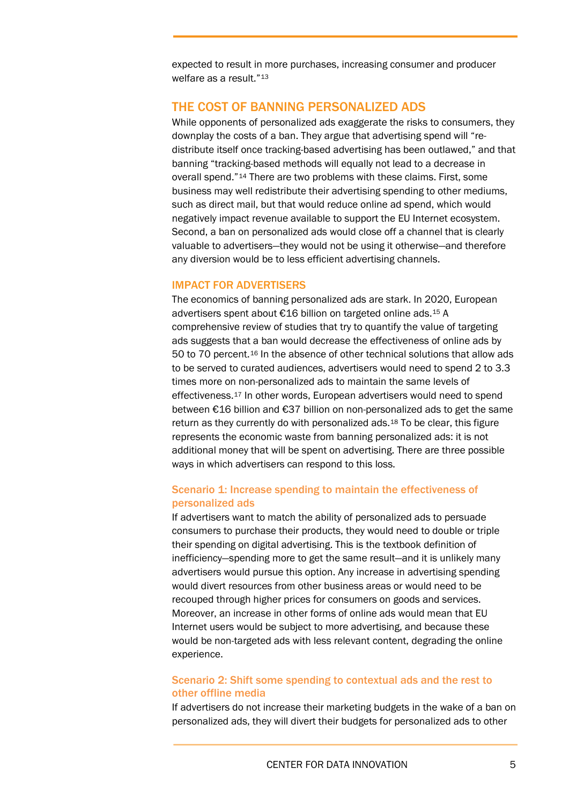expected to result in more purchases, increasing consumer and producer welfare as a result."[13](#page-13-12)

# THE COST OF BANNING PERSONALIZED ADS

While opponents of personalized ads exaggerate the risks to consumers, they downplay the costs of a ban. They argue that advertising spend will "redistribute itself once tracking-based advertising has been outlawed," and that banning "tracking-based methods will equally not lead to a decrease in overall spend."[14](#page-13-13) There are two problems with these claims. First, some business may well redistribute their advertising spending to other mediums, such as direct mail, but that would reduce online ad spend, which would negatively impact revenue available to support the EU Internet ecosystem. Second, a ban on personalized ads would close off a channel that is clearly valuable to advertisers—they would not be using it otherwise—and therefore any diversion would be to less efficient advertising channels.

### IMPACT FOR ADVERTISERS

The economics of banning personalized ads are stark. In 2020, European advertisers spent about €16 billion on targeted online ads.[15](#page-13-14) A comprehensive review of studies that try to quantify the value of targeting ads suggests that a ban would decrease the effectiveness of online ads by 50 to 70 percent.[16](#page-13-15) In the absence of other technical solutions that allow ads to be served to curated audiences, advertisers would need to spend 2 to 3.3 times more on non-personalized ads to maintain the same levels of effectiveness.[17](#page-14-0) In other words, European advertisers would need to spend between €16 billion and €37 billion on non-personalized ads to get the same return as they currently do with personalized ads.[18](#page-14-1) To be clear, this figure represents the economic waste from banning personalized ads: it is not additional money that will be spent on advertising. There are three possible ways in which advertisers can respond to this loss.

### Scenario 1: Increase spending to maintain the effectiveness of personalized ads

If advertisers want to match the ability of personalized ads to persuade consumers to purchase their products, they would need to double or triple their spending on digital advertising. This is the textbook definition of inefficiency—spending more to get the same result—and it is unlikely many advertisers would pursue this option. Any increase in advertising spending would divert resources from other business areas or would need to be recouped through higher prices for consumers on goods and services. Moreover, an increase in other forms of online ads would mean that EU Internet users would be subject to more advertising, and because these would be non-targeted ads with less relevant content, degrading the online experience.

### Scenario 2: Shift some spending to contextual ads and the rest to other offline media

If advertisers do not increase their marketing budgets in the wake of a ban on personalized ads, they will divert their budgets for personalized ads to other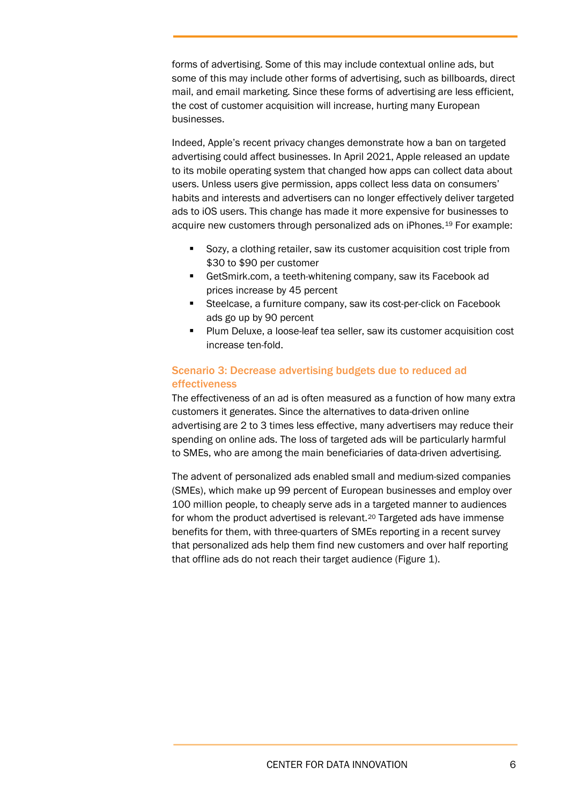forms of advertising. Some of this may include contextual online ads, but some of this may include other forms of advertising, such as billboards, direct mail, and email marketing. Since these forms of advertising are less efficient, the cost of customer acquisition will increase, hurting many European businesses.

Indeed, Apple's recent privacy changes demonstrate how a ban on targeted advertising could affect businesses. In April 2021, Apple released an update to its mobile operating system that changed how apps can collect data about users. Unless users give permission, apps collect less data on consumers' habits and interests and advertisers can no longer effectively deliver targeted ads to iOS users. This change has made it more expensive for businesses to acquire new customers through personalized ads on iPhones.[19](#page-14-2) For example:

- Sozy, a clothing retailer, saw its customer acquisition cost triple from \$30 to \$90 per customer
- **GetSmirk.com, a teeth-whitening company, saw its Facebook ad** prices increase by 45 percent
- **Steelcase, a furniture company, saw its cost-per-click on Facebook** ads go up by 90 percent
- **Plum Deluxe, a loose-leaf tea seller, saw its customer acquisition cost** increase ten-fold.

# Scenario 3: Decrease advertising budgets due to reduced ad effectiveness

The effectiveness of an ad is often measured as a function of how many extra customers it generates. Since the alternatives to data-driven online advertising are 2 to 3 times less effective, many advertisers may reduce their spending on online ads. The loss of targeted ads will be particularly harmful to SMEs, who are among the main beneficiaries of data-driven advertising.

The advent of personalized ads enabled small and medium-sized companies (SMEs), which make up 99 percent of European businesses and employ over 100 million people, to cheaply serve ads in a targeted manner to audiences for whom the product advertised is relevant.<sup>[20](#page-14-3)</sup> Targeted ads have immense benefits for them, with three-quarters of SMEs reporting in a recent survey that personalized ads help them find new customers and over half reporting that offline ads do not reach their target audience (Figure 1).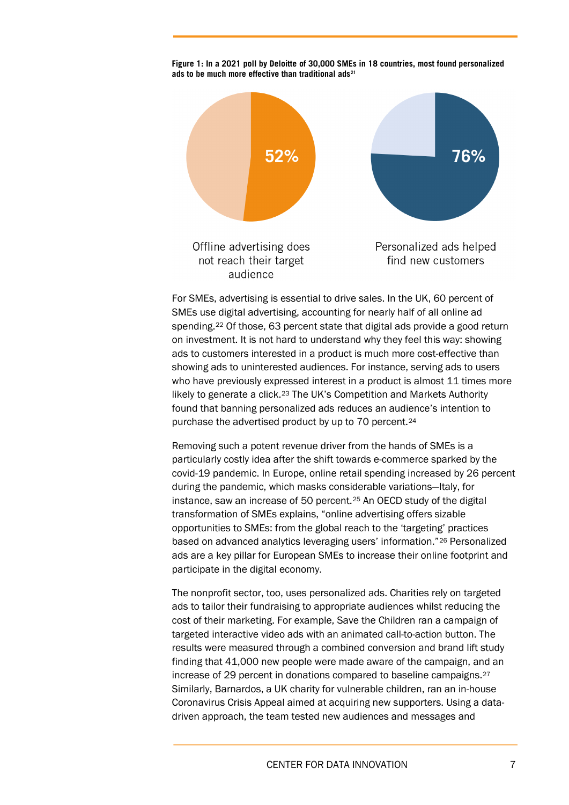

**Figure 1: In a 2021 poll by Deloitte of 30,000 SMEs in 18 countries, most found personalized ads to be much more effective than traditional ads[21](#page-14-4)**

For SMEs, advertising is essential to drive sales. In the UK, 60 percent of SMEs use digital advertising, accounting for nearly half of all online ad spending.[22](#page-14-5) Of those, 63 percent state that digital ads provide a good return on investment. It is not hard to understand why they feel this way: showing ads to customers interested in a product is much more cost-effective than showing ads to uninterested audiences. For instance, serving ads to users who have previously expressed interest in a product is almost 11 times more likely to generate a click.[23](#page-14-6) The UK's Competition and Markets Authority found that banning personalized ads reduces an audience's intention to purchase the advertised product by up to 70 percent.[24](#page-14-7)

Removing such a potent revenue driver from the hands of SMEs is a particularly costly idea after the shift towards e-commerce sparked by the covid-19 pandemic. In Europe, online retail spending increased by 26 percent during the pandemic, which masks considerable variations—Italy, for instance, saw an increase of 50 percent.[25](#page-14-8) An OECD study of the digital transformation of SMEs explains, "online advertising offers sizable opportunities to SMEs: from the global reach to the 'targeting' practices based on advanced analytics leveraging users' information."[26](#page-14-9) Personalized ads are a key pillar for European SMEs to increase their online footprint and participate in the digital economy.

The nonprofit sector, too, uses personalized ads. Charities rely on targeted ads to tailor their fundraising to appropriate audiences whilst reducing the cost of their marketing. For example, Save the Children ran a campaign of targeted interactive video ads with an animated call-to-action button. The results were measured through a combined conversion and brand lift study finding that 41,000 new people were made aware of the campaign, and an increase of 29 percent in donations compared to baseline campaigns.[27](#page-14-10) Similarly, Barnardos, a UK charity for vulnerable children, ran an in-house Coronavirus Crisis Appeal aimed at acquiring new supporters. Using a datadriven approach, the team tested new audiences and messages and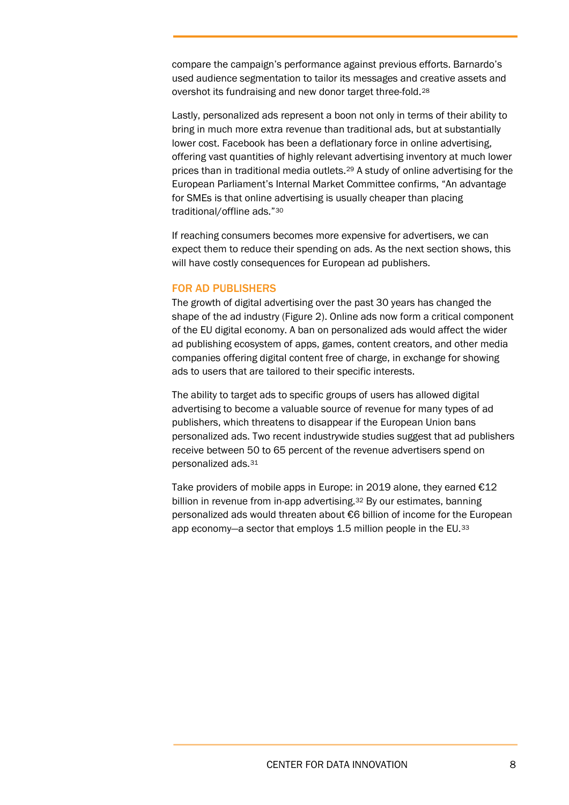compare the campaign's performance against previous efforts. Barnardo's used audience segmentation to tailor its messages and creative assets and overshot its fundraising and new donor target three-fold.[28](#page-14-11)

Lastly, personalized ads represent a boon not only in terms of their ability to bring in much more extra revenue than traditional ads, but at substantially lower cost. Facebook has been a deflationary force in online advertising, offering vast quantities of highly relevant advertising inventory at much lower prices than in traditional media outlets.[29](#page-14-12) A study of online advertising for the European Parliament's Internal Market Committee confirms, "An advantage for SMEs is that online advertising is usually cheaper than placing traditional/offline ads.["30](#page-14-13)

If reaching consumers becomes more expensive for advertisers, we can expect them to reduce their spending on ads. As the next section shows, this will have costly consequences for European ad publishers.

### FOR AD PUBLISHERS

The growth of digital advertising over the past 30 years has changed the shape of the ad industry (Figure 2). Online ads now form a critical component of the EU digital economy. A ban on personalized ads would affect the wider ad publishing ecosystem of apps, games, content creators, and other media companies offering digital content free of charge, in exchange for showing ads to users that are tailored to their specific interests.

The ability to target ads to specific groups of users has allowed digital advertising to become a valuable source of revenue for many types of ad publishers, which threatens to disappear if the European Union bans personalized ads. Two recent industrywide studies suggest that ad publishers receive between 50 to 65 percent of the revenue advertisers spend on personalized ads.[31](#page-14-14)

Take providers of mobile apps in Europe: in 2019 alone, they earned  $\epsilon$ 12 billion in revenue from in-app advertising.<sup>[32](#page-15-0)</sup> By our estimates, banning personalized ads would threaten about €6 billion of income for the European app economy—a sector that employs 1.5 million people in the EU.<sup>[33](#page-15-1)</sup>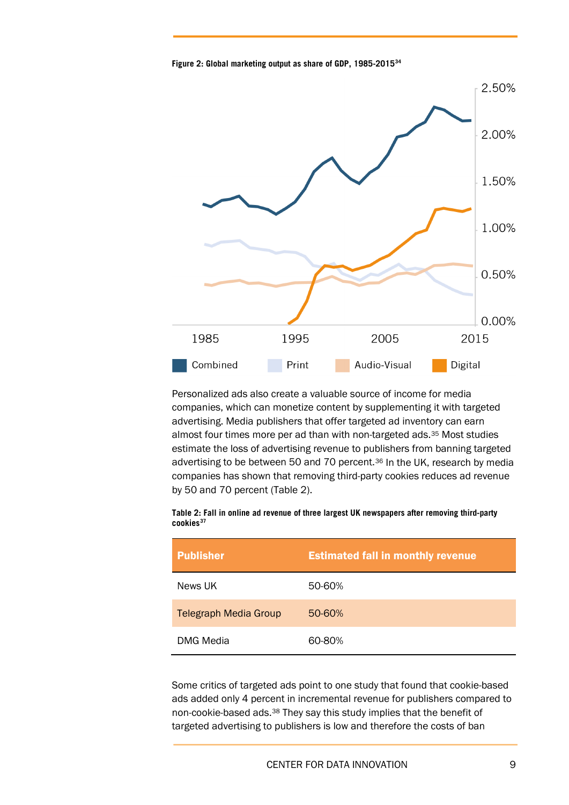**Figure 2: Global marketing output as share of GDP, 1985-2015[34](#page-15-2)**



Personalized ads also create a valuable source of income for media companies, which can monetize content by supplementing it with targeted advertising. Media publishers that offer targeted ad inventory can earn almost four times more per ad than with non-targeted ads.[35](#page-15-3) Most studies estimate the loss of advertising revenue to publishers from banning targeted advertising to be between 50 and 70 percent.<sup>[36](#page-15-4)</sup> In the UK, research by media companies has shown that removing third-party cookies reduces ad revenue by 50 and 70 percent (Table 2).

| Table 2: Fall in online ad revenue of three largest UK newspapers after removing third-party |  |  |
|----------------------------------------------------------------------------------------------|--|--|
| cookies <sup>37</sup>                                                                        |  |  |

| <b>Publisher</b>             | <b>Estimated fall in monthly revenue</b> |
|------------------------------|------------------------------------------|
| News UK                      | 50-60%                                   |
| <b>Telegraph Media Group</b> | 50-60%                                   |
| <b>DMG Media</b>             | 60-80%                                   |

Some critics of targeted ads point to one study that found that cookie-based ads added only 4 percent in incremental revenue for publishers compared to non-cookie-based ads.[38](#page-15-6) They say this study implies that the benefit of targeted advertising to publishers is low and therefore the costs of ban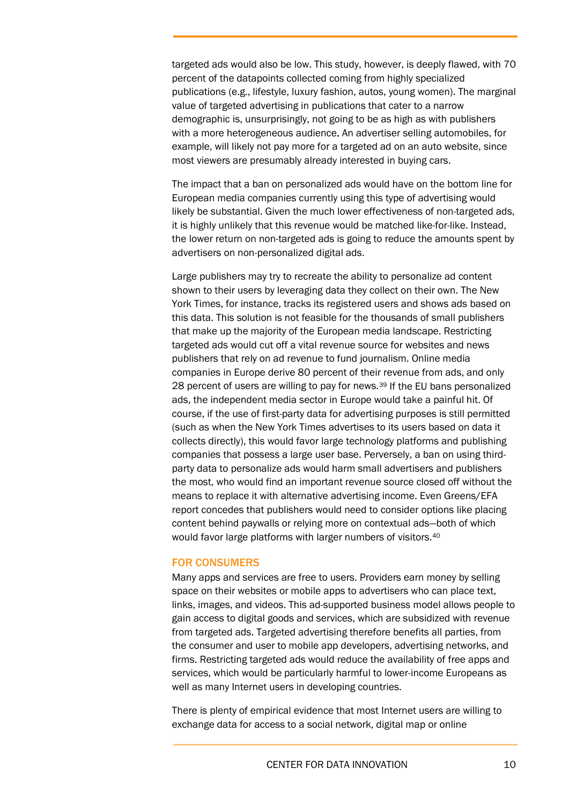targeted ads would also be low. This study, however, is deeply flawed, with 70 percent of the datapoints collected coming from highly specialized publications (e.g., lifestyle, luxury fashion, autos, young women). The marginal value of targeted advertising in publications that cater to a narrow demographic is, unsurprisingly, not going to be as high as with publishers with a more heterogeneous audience. An advertiser selling automobiles, for example, will likely not pay more for a targeted ad on an auto website, since most viewers are presumably already interested in buying cars.

The impact that a ban on personalized ads would have on the bottom line for European media companies currently using this type of advertising would likely be substantial. Given the much lower effectiveness of non-targeted ads, it is highly unlikely that this revenue would be matched like-for-like. Instead, the lower return on non-targeted ads is going to reduce the amounts spent by advertisers on non-personalized digital ads.

Large publishers may try to recreate the ability to personalize ad content shown to their users by leveraging data they collect on their own. The New York Times, for instance, tracks its registered users and shows ads based on this data. This solution is not feasible for the thousands of small publishers that make up the majority of the European media landscape. Restricting targeted ads would cut off a vital revenue source for websites and news publishers that rely on ad revenue to fund journalism. Online media companies in Europe derive 80 percent of their revenue from ads, and only 28 percent of users are willing to pay for news.[39](#page-15-7) If the EU bans personalized ads, the independent media sector in Europe would take a painful hit. Of course, if the use of first-party data for advertising purposes is still permitted (such as when the New York Times advertises to its users based on data it collects directly), this would favor large technology platforms and publishing companies that possess a large user base. Perversely, a ban on using thirdparty data to personalize ads would harm small advertisers and publishers the most, who would find an important revenue source closed off without the means to replace it with alternative advertising income. Even Greens/EFA report concedes that publishers would need to consider options like placing content behind paywalls or relying more on contextual ads—both of which would favor large platforms with larger numbers of visitors.[40](#page-15-8)

### FOR CONSUMERS

Many apps and services are free to users. Providers earn money by selling space on their websites or mobile apps to advertisers who can place text, links, images, and videos. This ad-supported business model allows people to gain access to digital goods and services, which are subsidized with revenue from targeted ads. Targeted advertising therefore benefits all parties, from the consumer and user to mobile app developers, advertising networks, and firms. Restricting targeted ads would reduce the availability of free apps and services, which would be particularly harmful to lower-income Europeans as well as many Internet users in developing countries.

There is plenty of empirical evidence that most Internet users are willing to exchange data for access to a social network, digital map or online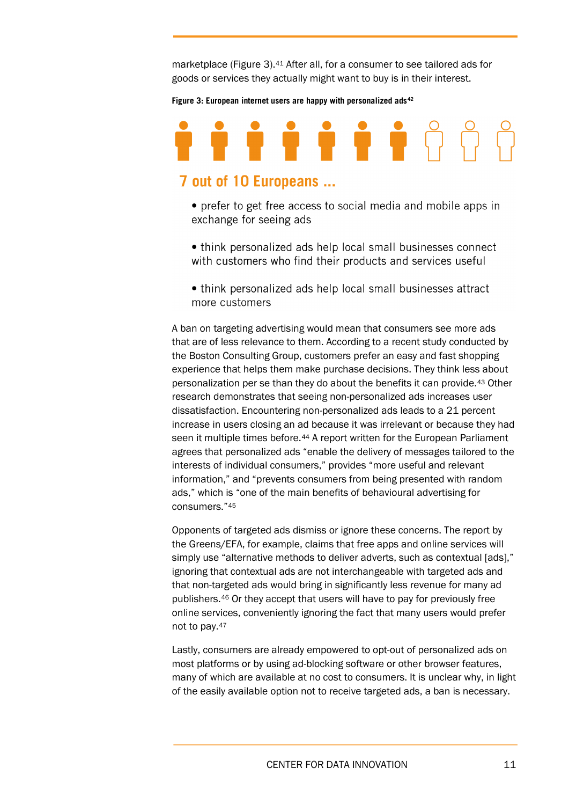marketplace (Figure 3).<sup>[41](#page-15-9)</sup> After all, for a consumer to see tailored ads for goods or services they actually might want to buy is in their interest.

**Figure 3: European internet users are happy with personalized ads[42](#page-15-10)**

# 

# 7 out of 10 Europeans ...

- prefer to get free access to social media and mobile apps in exchange for seeing ads
- think personalized ads help local small businesses connect with customers who find their products and services useful
- think personalized ads help local small businesses attract more customers

A ban on targeting advertising would mean that consumers see more ads that are of less relevance to them. According to a recent study conducted by the Boston Consulting Group, customers prefer an easy and fast shopping experience that helps them make purchase decisions. They think less about personalization per se than they do about the benefits it can provide[.43](#page-15-11) Other research demonstrates that seeing non-personalized ads increases user dissatisfaction. Encountering non-personalized ads leads to a 21 percent increase in users closing an ad because it was irrelevant or because they had seen it multiple times before.<sup>[44](#page-16-0)</sup> A report written for the European Parliament agrees that personalized ads "enable the delivery of messages tailored to the interests of individual consumers," provides "more useful and relevant information," and "prevents consumers from being presented with random ads," which is "one of the main benefits of behavioural advertising for consumers."[45](#page-16-1)

Opponents of targeted ads dismiss or ignore these concerns. The report by the Greens/EFA, for example, claims that free apps and online services will simply use "alternative methods to deliver adverts, such as contextual [ads]," ignoring that contextual ads are not interchangeable with targeted ads and that non-targeted ads would bring in significantly less revenue for many ad publishers.[46](#page-16-2) Or they accept that users will have to pay for previously free online services, conveniently ignoring the fact that many users would prefer not to pay.[47](#page-16-3)

Lastly, consumers are already empowered to opt-out of personalized ads on most platforms or by using ad-blocking software or other browser features, many of which are available at no cost to consumers. It is unclear why, in light of the easily available option not to receive targeted ads, a ban is necessary.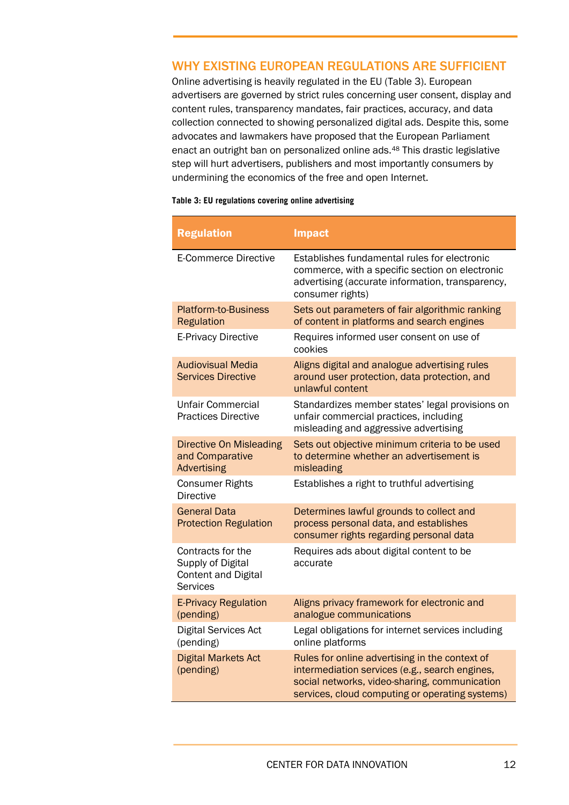# WHY EXISTING EUROPEAN REGULATIONS ARE SUFFICIENT

Online advertising is heavily regulated in the EU [\(Table 3\)](#page-11-0). European advertisers are governed by strict rules concerning user consent, display and content rules, transparency mandates, fair practices, accuracy, and data collection connected to showing personalized digital ads. Despite this, some advocates and lawmakers have proposed that the European Parliament enact an outright ban on personalized online ads.[48](#page-16-4) This drastic legislative step will hurt advertisers, publishers and most importantly consumers by undermining the economics of the free and open Internet.

### <span id="page-11-0"></span>**Table 3: EU regulations covering online advertising**

| <b>Regulation</b>                                                                       | <b>Impact</b>                                                                                                                                                                                        |
|-----------------------------------------------------------------------------------------|------------------------------------------------------------------------------------------------------------------------------------------------------------------------------------------------------|
| <b>E-Commerce Directive</b>                                                             | Establishes fundamental rules for electronic<br>commerce, with a specific section on electronic<br>advertising (accurate information, transparency,<br>consumer rights)                              |
| <b>Platform-to-Business</b><br><b>Regulation</b>                                        | Sets out parameters of fair algorithmic ranking<br>of content in platforms and search engines                                                                                                        |
| <b>E-Privacy Directive</b>                                                              | Requires informed user consent on use of<br>cookies                                                                                                                                                  |
| <b>Audiovisual Media</b><br><b>Services Directive</b>                                   | Aligns digital and analogue advertising rules<br>around user protection, data protection, and<br>unlawful content                                                                                    |
| Unfair Commercial<br><b>Practices Directive</b>                                         | Standardizes member states' legal provisions on<br>unfair commercial practices, including<br>misleading and aggressive advertising                                                                   |
| <b>Directive On Misleading</b><br>and Comparative<br><b>Advertising</b>                 | Sets out objective minimum criteria to be used<br>to determine whether an advertisement is<br>misleading                                                                                             |
| <b>Consumer Rights</b><br><b>Directive</b>                                              | Establishes a right to truthful advertising                                                                                                                                                          |
| <b>General Data</b><br><b>Protection Regulation</b>                                     | Determines lawful grounds to collect and<br>process personal data, and establishes<br>consumer rights regarding personal data                                                                        |
| Contracts for the<br>Supply of Digital<br><b>Content and Digital</b><br><b>Services</b> | Requires ads about digital content to be<br>accurate                                                                                                                                                 |
| <b>E-Privacy Regulation</b><br>(pending)                                                | Aligns privacy framework for electronic and<br>analogue communications                                                                                                                               |
| <b>Digital Services Act</b><br>(pending)                                                | Legal obligations for internet services including<br>online platforms                                                                                                                                |
| <b>Digital Markets Act</b><br>(pending)                                                 | Rules for online advertising in the context of<br>intermediation services (e.g., search engines,<br>social networks, video-sharing, communication<br>services, cloud computing or operating systems) |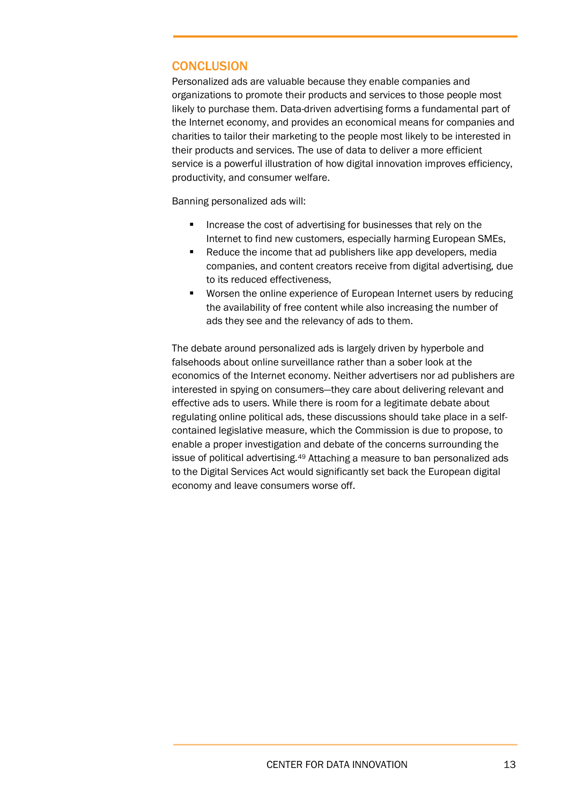# **CONCLUSION**

Personalized ads are valuable because they enable companies and organizations to promote their products and services to those people most likely to purchase them. Data-driven advertising forms a fundamental part of the Internet economy, and provides an economical means for companies and charities to tailor their marketing to the people most likely to be interested in their products and services. The use of data to deliver a more efficient service is a powerful illustration of how digital innovation improves efficiency, productivity, and consumer welfare.

Banning personalized ads will:

- **IF** Increase the cost of advertising for businesses that rely on the Internet to find new customers, especially harming European SMEs,
- Reduce the income that ad publishers like app developers, media companies, and content creators receive from digital advertising, due to its reduced effectiveness,
- Worsen the online experience of European Internet users by reducing the availability of free content while also increasing the number of ads they see and the relevancy of ads to them.

The debate around personalized ads is largely driven by hyperbole and falsehoods about online surveillance rather than a sober look at the economics of the Internet economy. Neither advertisers nor ad publishers are interested in spying on consumers—they care about delivering relevant and effective ads to users. While there is room for a legitimate debate about regulating online political ads, these discussions should take place in a selfcontained legislative measure, which the Commission is due to propose, to enable a proper investigation and debate of the concerns surrounding the issue of political advertising.[49](#page-16-5) Attaching a measure to ban personalized ads to the Digital Services Act would significantly set back the European digital economy and leave consumers worse off.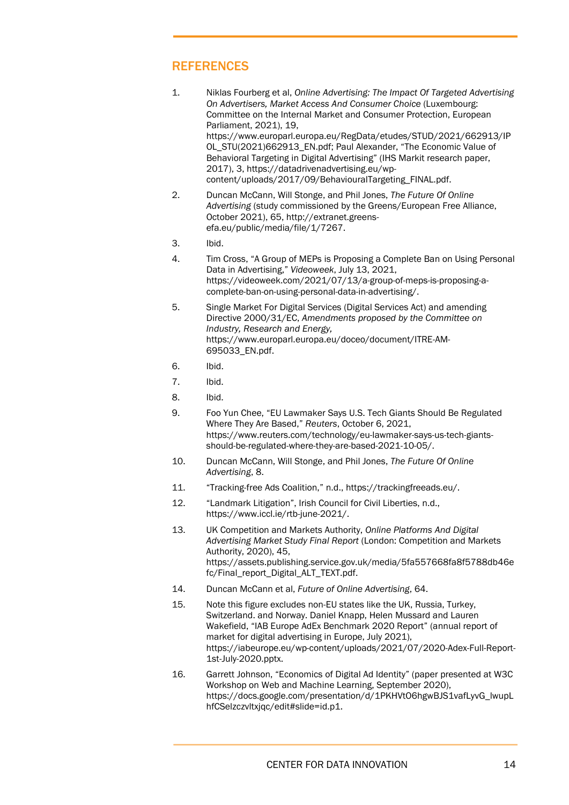# REFERENCES

- <span id="page-13-0"></span>1. Niklas Fourberg et al, *Online Advertising: The Impact Of Targeted Advertising On Advertisers, Market Access And Consumer Choice* (Luxembourg: Committee on the Internal Market and Consumer Protection, European Parliament, 2021), 19, [https://www.europarl.europa.eu/RegData/etudes/STUD/2021/662913/IP](https://www.europarl.europa.eu/RegData/etudes/STUD/2021/662913/IPOL_STU(2021)662913_EN.pdf) [OL\\_STU\(2021\)662913\\_EN.pdf;](https://www.europarl.europa.eu/RegData/etudes/STUD/2021/662913/IPOL_STU(2021)662913_EN.pdf) Paul Alexander, "The Economic Value of Behavioral Targeting in Digital Advertising" (IHS Markit research paper, 2017), 3, [https://datadrivenadvertising.eu/wp](https://datadrivenadvertising.eu/wp-content/uploads/2017/09/BehaviouralTargeting_FINAL.pdf)[content/uploads/2017/09/BehaviouralTargeting\\_FINAL.pdf.](https://datadrivenadvertising.eu/wp-content/uploads/2017/09/BehaviouralTargeting_FINAL.pdf)
- <span id="page-13-1"></span>2. Duncan McCann, Will Stonge, and Phil Jones, *The Future Of Online Advertising* (study commissioned by the Greens/European Free Alliance, October 2021), 65, http://extranet.greensefa.eu/public/media/file/1/7267.
- <span id="page-13-2"></span>3. Ibid.
- <span id="page-13-3"></span>4. Tim Cross, "A Group of MEPs is Proposing a Complete Ban on Using Personal Data in Advertising," *Videoweek*, July 13, 2021, https://videoweek.com/2021/07/13/a-group-of-meps-is-proposing-acomplete-ban-on-using-personal-data-in-advertising/.
- <span id="page-13-4"></span>5. Single Market For Digital Services (Digital Services Act) and amending Directive 2000/31/EC, *Amendments proposed by the Committee on Industry, Research and Energy,* https://www.europarl.europa.eu/doceo/document/ITRE-AM-695033\_EN.pdf.
- <span id="page-13-5"></span>6. Ibid.
- 7. Ibid.
- <span id="page-13-7"></span><span id="page-13-6"></span>8. Ibid.
- <span id="page-13-8"></span>9. Foo Yun Chee, "EU Lawmaker Says U.S. Tech Giants Should Be Regulated Where They Are Based," *Reuters*, October 6, 2021, https://www.reuters.com/technology/eu-lawmaker-says-us-tech-giantsshould-be-regulated-where-they-are-based-2021-10-05/.
- <span id="page-13-9"></span>10. Duncan McCann, Will Stonge, and Phil Jones, *The Future Of Online Advertising*, 8.
- 11. "Tracking-free Ads Coalition," n.d., https://trackingfreeads.eu/.
- <span id="page-13-11"></span><span id="page-13-10"></span>12. "Landmark Litigation", Irish Council for Civil Liberties, n.d., https://www.iccl.ie/rtb-june-2021/.
- <span id="page-13-12"></span>13. UK Competition and Markets Authority, *Online Platforms And Digital Advertising Market Study Final Report* (London: Competition and Markets Authority, 2020), 45, https://assets.publishing.service.gov.uk/media/5fa557668fa8f5788db46e fc/Final\_report\_Digital\_ALT\_TEXT.pdf.
- <span id="page-13-13"></span>14. Duncan McCann et al, *Future of Online Advertising*, 64.
- <span id="page-13-14"></span>15. Note this figure excludes non-EU states like the UK, Russia, Turkey, Switzerland. and Norway. Daniel Knapp, Helen Mussard and Lauren Wakefield, "IAB Europe AdEx Benchmark 2020 Report" (annual report of market for digital advertising in Europe, July 2021), [https://iabeurope.eu/wp-content/uploads/2021/07/2020-Adex-Full-Report-](https://iabeurope.eu/wp-content/uploads/2021/07/2020-Adex-Full-Report-1st-July-2020.pptx.%20This%20figure%20excludes%20non-EU%20states%20like%20the%20UK,%20Russia,%20Turkey,%20Switzerland%20and%20Norway.)[1st-July-2020.pptx.](https://iabeurope.eu/wp-content/uploads/2021/07/2020-Adex-Full-Report-1st-July-2020.pptx.%20This%20figure%20excludes%20non-EU%20states%20like%20the%20UK,%20Russia,%20Turkey,%20Switzerland%20and%20Norway.)
- <span id="page-13-15"></span>16. Garrett Johnson, "Economics of Digital Ad Identity" (paper presented at W3C Workshop on Web and Machine Learning, September 2020), [https://docs.google.com/presentation/d/1PKHVtO6hgwBJS1vafLyvG\\_lwupL](https://docs.google.com/presentation/d/1PKHVtO6hgwBJS1vafLyvG_lwupLhfCSelzczvltxjqc/edit#slide=id.p1) [hfCSelzczvltxjqc/edit#slide=id.p1.](https://docs.google.com/presentation/d/1PKHVtO6hgwBJS1vafLyvG_lwupLhfCSelzczvltxjqc/edit#slide=id.p1)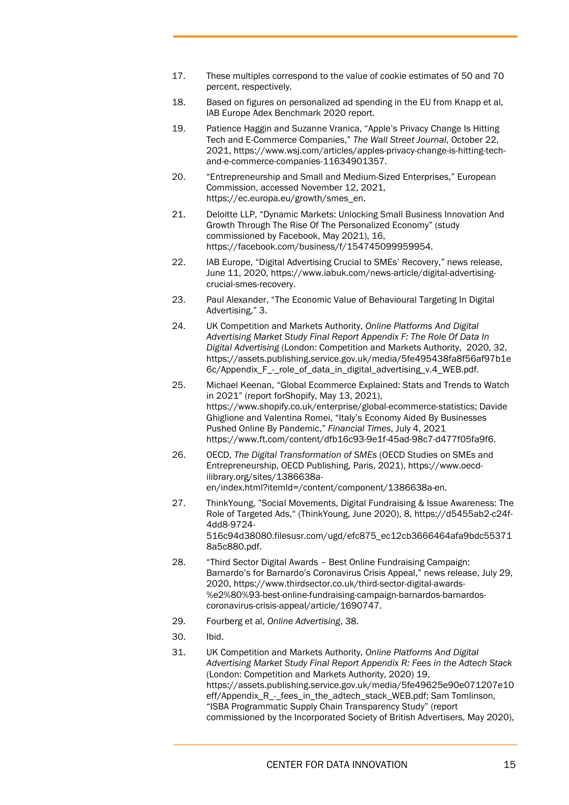- <span id="page-14-0"></span>17. These multiples correspond to the value of cookie estimates of 50 and 70 percent, respectively.
- <span id="page-14-1"></span>18. Based on figures on personalized ad spending in the EU from Knapp et al, IAB Europe Adex Benchmark 2020 report.
- <span id="page-14-2"></span>19. Patience Haggin and Suzanne Vranica, "Apple's Privacy Change Is Hitting Tech and E-Commerce Companies," *The Wall Street Journal*, October 22, 2021[, https://www.wsj.com/articles/apples-privacy-change-is-hitting-tech](https://www.wsj.com/articles/apples-privacy-change-is-hitting-tech-and-e-commerce-companies-11634901357)[and-e-commerce-companies-11634901357.](https://www.wsj.com/articles/apples-privacy-change-is-hitting-tech-and-e-commerce-companies-11634901357)
- <span id="page-14-3"></span>20. "Entrepreneurship and Small and Medium-Sized Enterprises," European Commission, accessed November 12, 2021, [https://ec.europa.eu/growth/smes\\_en.](https://ec.europa.eu/growth/smes_en)
- <span id="page-14-4"></span>21. Deloitte LLP, "Dynamic Markets: Unlocking Small Business Innovation And Growth Through The Rise Of The Personalized Economy" (study commissioned by Facebook, May 2021), 16, [https://facebook.com/business/f/154745099959954.](https://facebook.com/business/f/154745099959954)
- <span id="page-14-5"></span>22. IAB Europe, "Digital Advertising Crucial to SMEs' Recovery," news release, June 11, 2020[, https://www.iabuk.com/news-article/digital-advertising](https://www.iabuk.com/news-article/digital-advertising-crucial-smes-recovery)[crucial-smes-recovery.](https://www.iabuk.com/news-article/digital-advertising-crucial-smes-recovery)
- <span id="page-14-6"></span>23. Paul Alexander, "The Economic Value of Behavioural Targeting In Digital Advertising," 3.
- <span id="page-14-7"></span>24. UK Competition and Markets Authority, *Online Platforms And Digital Advertising Market Study Final Report Appendix F: The Role Of Data In Digital Advertising* (London: Competition and Markets Authority, 2020, 32, [https://assets.publishing.service.gov.uk/media/5fe495438fa8f56af97b1e](https://assets.publishing.service.gov.uk/media/5fe495438fa8f56af97b1e6c/Appendix_F_-_role_of_data_in_digital_advertising_v.4_WEB.pdf) [6c/Appendix\\_F\\_-\\_role\\_of\\_data\\_in\\_digital\\_advertising\\_v.4\\_WEB.pdf.](https://assets.publishing.service.gov.uk/media/5fe495438fa8f56af97b1e6c/Appendix_F_-_role_of_data_in_digital_advertising_v.4_WEB.pdf)
- <span id="page-14-8"></span>25. Michael Keenan, "Global Ecommerce Explained: Stats and Trends to Watch in 2021" (report forShopify, May 13, 2021), [https://www.shopify.co.uk/enterprise/global-ecommerce-statistics;](https://www.shopify.co.uk/enterprise/global-ecommerce-statistics) Davide Ghiglione and Valentina Romei, "Italy's Economy Aided By Businesses Pushed Online By Pandemic," *Financial Times*, July 4, 2021 [https://www.ft.com/content/dfb16c93-9e1f-45ad-98c7-d477f05fa9f6.](https://www.ft.com/content/dfb16c93-9e1f-45ad-98c7-d477f05fa9f6)
- <span id="page-14-9"></span>26. OECD, *The Digital Transformation of SMEs* (OECD Studies on SMEs and Entrepreneurship, OECD Publishing, Paris, 2021), https://www.oecdilibrary.org/sites/1386638aen/index.html?itemId=/content/component/1386638a-en.
- <span id="page-14-10"></span>27. ThinkYoung, "Social Movements, Digital Fundraising & Issue Awareness: The Role of Targeted Ads," (ThinkYoung, June 2020), 8, https://d5455ab2-c24f-4dd8-9724- 516c94d38080.filesusr.com/ugd/efc875\_ec12cb3666464afa9bdc55371 8a5c880.pdf.
- <span id="page-14-11"></span>28. "Third Sector Digital Awards – Best Online Fundraising Campaign: Barnardo's for Barnardo's Coronavirus Crisis Appeal," news release, July 29, 2020, https://www.thirdsector.co.uk/third-sector-digital-awards- %e2%80%93-best-online-fundraising-campaign-barnardos-barnardoscoronavirus-crisis-appeal/article/1690747.
- <span id="page-14-12"></span>29. Fourberg et al, *Online Advertising*, 38.
- <span id="page-14-14"></span><span id="page-14-13"></span>30. Ibid.
- 31. UK Competition and Markets Authority, *Online Platforms And Digital Advertising Market Study Final Report Appendix R: Fees in the Adtech Stack*  (London: Competition and Markets Authority, 2020) 19, [https://assets.publishing.service.gov.uk/media/5fe49625e90e071207e10](https://assets.publishing.service.gov.uk/media/5fe49625e90e071207e10eff/Appendix_R_-_fees_in_the_adtech_stack_WEB.pdf) [eff/Appendix\\_R\\_-\\_fees\\_in\\_the\\_adtech\\_stack\\_WEB.pdf;](https://assets.publishing.service.gov.uk/media/5fe49625e90e071207e10eff/Appendix_R_-_fees_in_the_adtech_stack_WEB.pdf) Sam Tomlinson, "ISBA Programmatic Supply Chain Transparency Study" (report commissioned by the Incorporated Society of British Advertisers, May 2020),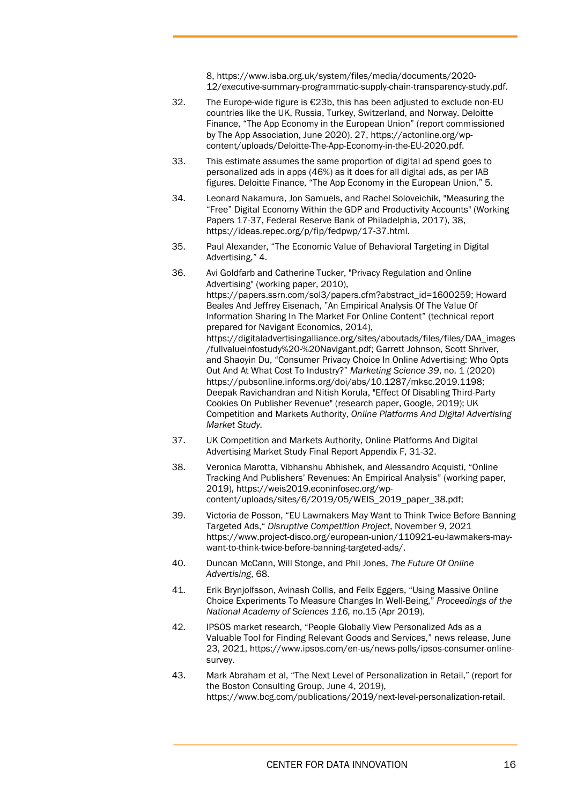8, https://www.isba.org.uk/system/files/media/documents/2020- 12/executive-summary-programmatic-supply-chain-transparency-study.pdf.

- <span id="page-15-0"></span>32. The Europe-wide figure is  $\epsilon$  23b, this has been adjusted to exclude non-EU countries like the UK, Russia, Turkey, Switzerland, and Norway. Deloitte Finance, "The App Economy in the European Union" (report commissioned by The App Association, June 2020), 27, [https://actonline.org/wp](https://actonline.org/wp-content/uploads/Deloitte-The-App-Economy-in-the-EU-2020.pdf)[content/uploads/Deloitte-The-App-Economy-in-the-EU-2020.pdf.](https://actonline.org/wp-content/uploads/Deloitte-The-App-Economy-in-the-EU-2020.pdf)
- <span id="page-15-1"></span>33. This estimate assumes the same proportion of digital ad spend goes to personalized ads in apps (46%) as it does for all digital ads, as per IAB figures. Deloitte Finance, "The App Economy in the European Union," 5.
- <span id="page-15-2"></span>34. Leonard Nakamura, Jon Samuels, and Rachel Soloveichik, "Measuring the "Free" Digital Economy Within the GDP and Productivity Accounts" (Working Papers 17-37, Federal Reserve Bank of Philadelphia, 2017), 38, [https://ideas.repec.org/p/fip/fedpwp/17-37.html.](https://ideas.repec.org/p/fip/fedpwp/17-37.html)
- <span id="page-15-3"></span>35. Paul Alexander, "The Economic Value of Behavioral Targeting in Digital Advertising," 4.
- <span id="page-15-4"></span>36. Avi Goldfarb and Catherine Tucker, "Privacy Regulation and Online Advertising" (working paper, 2010), [https://papers.ssrn.com/sol3/papers.cfm?abstract\\_id=1600259;](https://papers.ssrn.com/sol3/papers.cfm?abstract_id=1600259) Howard Beales And Jeffrey Eisenach, "An Empirical Analysis Of The Value Of Information Sharing In The Market For Online Content" (technical report prepared for Navigant Economics, 2014), [https://digitaladvertisingalliance.org/sites/aboutads/files/files/DAA\\_images](https://digitaladvertisingalliance.org/sites/aboutads/files/files/DAA_images/fullvalueinfostudy%20-%20Navigant.pdf) [/fullvalueinfostudy%20-%20Navigant.pdf;](https://digitaladvertisingalliance.org/sites/aboutads/files/files/DAA_images/fullvalueinfostudy%20-%20Navigant.pdf) Garrett Johnson, Scott Shriver, and Shaoyin Du, "Consumer Privacy Choice In Online Advertising: Who Opts Out And At What Cost To Industry?" *Marketing Science 39*, no. 1 (2020) [https://pubsonline.informs.org/doi/abs/10.1287/mksc.2019.1198;](https://pubsonline.informs.org/doi/abs/10.1287/mksc.2019.1198) Deepak Ravichandran and Nitish Korula, "Effect Of Disabling Third-Party Cookies On Publisher Revenue" (research paper, Google, 2019); UK Competition and Markets Authority, *Online Platforms And Digital Advertising Market Study.*
- <span id="page-15-5"></span>37. UK Competition and Markets Authority, Online Platforms And Digital Advertising Market Study Final Report Appendix F, 31-32.
- <span id="page-15-6"></span>38. Veronica Marotta, Vibhanshu Abhishek, and Alessandro Acquisti, "Online Tracking And Publishers' Revenues: An Empirical Analysis" (working paper, 2019), [https://weis2019.econinfosec.org/wp](https://weis2019.econinfosec.org/wp-content/uploads/sites/6/2019/05/WEIS_2019_paper_38.pdf;)[content/uploads/sites/6/2019/05/WEIS\\_2019\\_paper\\_38.pdf;](https://weis2019.econinfosec.org/wp-content/uploads/sites/6/2019/05/WEIS_2019_paper_38.pdf;)
- <span id="page-15-7"></span>39. Victoria de Posson, "EU Lawmakers May Want to Think Twice Before Banning Targeted Ads," *Disruptive Competition Project*, November 9, 2021 [https://www.project-disco.org/european-union/110921-eu-lawmakers-may](https://www.project-disco.org/european-union/110921-eu-lawmakers-may-want-to-think-twice-before-banning-targeted-ads/)[want-to-think-twice-before-banning-targeted-ads/.](https://www.project-disco.org/european-union/110921-eu-lawmakers-may-want-to-think-twice-before-banning-targeted-ads/)
- <span id="page-15-8"></span>40. Duncan McCann, Will Stonge, and Phil Jones, *The Future Of Online Advertising*, 68.
- <span id="page-15-9"></span>41. Erik Brynjolfsson, Avinash Collis, and Felix Eggers, "Using Massive Online Choice Experiments To Measure Changes In Well-Being," *Proceedings of the National Academy of Sciences 116,* no.15 (Apr 2019).
- <span id="page-15-10"></span>42. IPSOS market research, "People Globally View Personalized Ads as a Valuable Tool for Finding Relevant Goods and Services," news release, June 23, 2021, [https://www.ipsos.com/en-us/news-polls/ipsos-consumer-online](https://www.ipsos.com/en-us/news-polls/ipsos-consumer-online-survey)[survey.](https://www.ipsos.com/en-us/news-polls/ipsos-consumer-online-survey)
- <span id="page-15-11"></span>43. Mark Abraham et al, "The Next Level of Personalization in Retail," (report for the Boston Consulting Group, June 4, 2019), https://www.bcg.com/publications/2019/next-level-personalization-retail.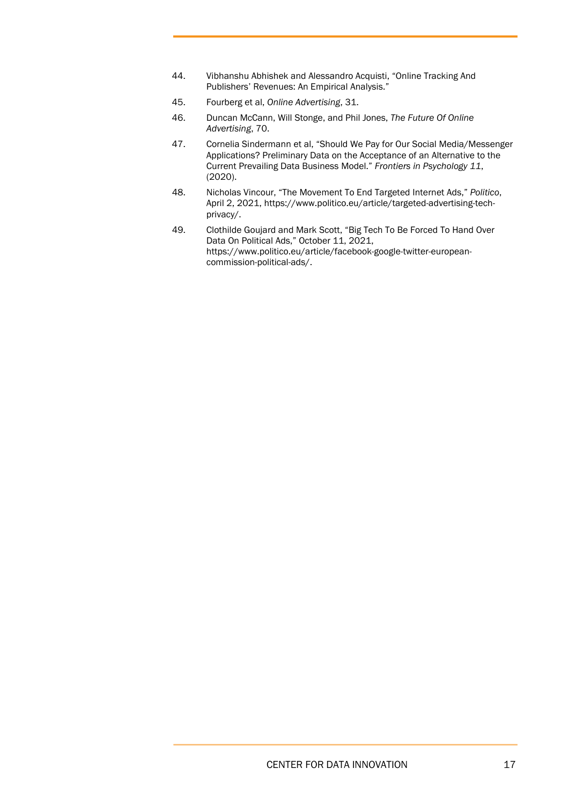- 44. Vibhanshu Abhishek and Alessandro Acquisti, "Online Tracking And Publishers' Revenues: An Empirical Analysis."
- <span id="page-16-2"></span><span id="page-16-1"></span><span id="page-16-0"></span>45. Fourberg et al, *Online Advertising*, 31.
- 46. Duncan McCann, Will Stonge, and Phil Jones, *The Future Of Online Advertising*, 70.
- <span id="page-16-3"></span>47. Cornelia Sindermann et al, "Should We Pay for Our Social Media/Messenger Applications? Preliminary Data on the Acceptance of an Alternative to the Current Prevailing Data Business Model." *Frontiers in Psychology 11*, (2020).
- <span id="page-16-4"></span>48. Nicholas Vincour, "The Movement To End Targeted Internet Ads," *Politico*, April 2, 2021, https://www.politico.eu/article/targeted-advertising-techprivacy/.
- <span id="page-16-5"></span>49. Clothilde Goujard and Mark Scott, "Big Tech To Be Forced To Hand Over Data On Political Ads," October 11, 2021, https://www.politico.eu/article/facebook-google-twitter-europeancommission-political-ads/.